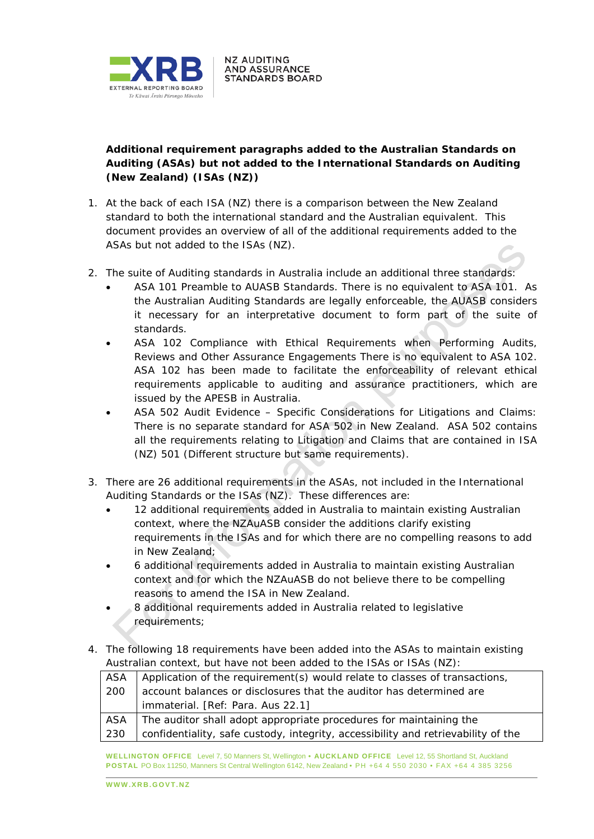

## **Additional requirement paragraphs added to the Australian Standards on Auditing (ASAs) but not added to the International Standards on Auditing (New Zealand) (ISAs (NZ))**

**NZ AUDITING AND ASSURANCE STANDARDS BOARD** 

- 1. At the back of each ISA (NZ) there is a comparison between the New Zealand standard to both the international standard and the Australian equivalent. This document provides an overview of all of the additional requirements added to the ASAs but not added to the ISAs (NZ).
- 2. The suite of Auditing standards in Australia include an additional three standards:
	- ASA 101 *Preamble to AUASB Standards*. There is no equivalent to ASA 101. As the Australian Auditing Standards are legally enforceable, the AUASB considers it necessary for an interpretative document to form part of the suite of standards.
	- ASA 102 *Compliance with Ethical Requirements when Performing Audits, Reviews and Other Assurance Engagements* There is no equivalent to ASA 102. ASA 102 has been made to facilitate the enforceability of relevant ethical requirements applicable to auditing and assurance practitioners, which are issued by the APESB in Australia.
	- ASA 502 *Audit Evidence – Specific Considerations for Litigations and Claims*: There is no separate standard for ASA 502 in New Zealand. ASA 502 contains all the requirements relating to Litigation and Claims that are contained in ISA (NZ) 501 (Different structure but same requirements).
- 3. There are 26 additional requirements in the ASAs, not included in the International Auditing Standards or the ISAs (NZ). These differences are:
	- 12 additional requirements added in Australia to maintain existing Australian context, where the NZAuASB consider the additions clarify existing requirements in the ISAs and for which there are no compelling reasons to add in New Zealand;
	- 6 additional requirements added in Australia to maintain existing Australian context and for which the NZAuASB do not believe there to be compelling reasons to amend the ISA in New Zealand.
	- 8 additional requirements added in Australia related to legislative requirements;
- 4. The following 18 requirements have been added into the ASAs to maintain existing Australian context, but have not been added to the ISAs or ISAs (NZ):

| ASA | Application of the requirement(s) would relate to classes of transactions,        |
|-----|-----------------------------------------------------------------------------------|
| 200 | account balances or disclosures that the auditor has determined are               |
|     | immaterial. [Ref: Para. Aus 22.1]                                                 |
| ASA | The auditor shall adopt appropriate procedures for maintaining the                |
| 230 | confidentiality, safe custody, integrity, accessibility and retrievability of the |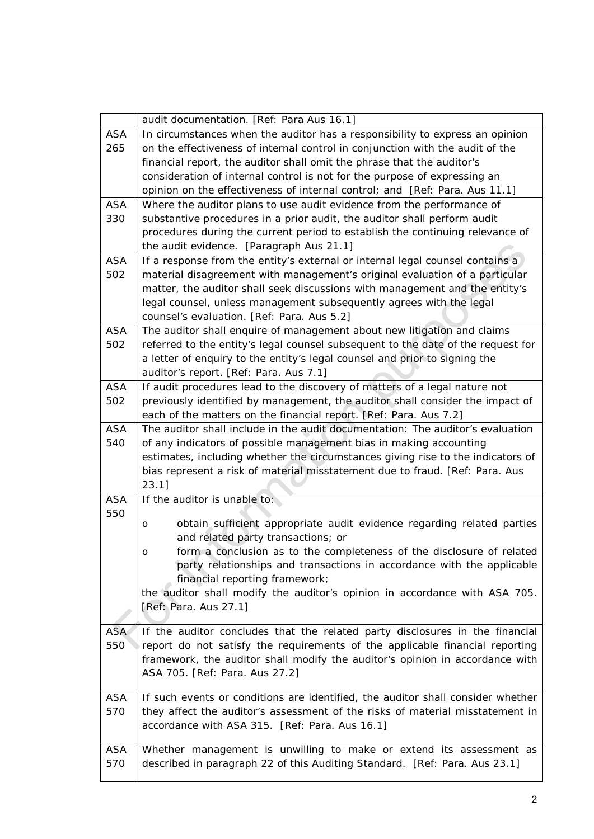|            | audit documentation. [Ref: Para Aus 16.1]                                         |
|------------|-----------------------------------------------------------------------------------|
| <b>ASA</b> | In circumstances when the auditor has a responsibility to express an opinion      |
| 265        | on the effectiveness of internal control in conjunction with the audit of the     |
|            | financial report, the auditor shall omit the phrase that the auditor's            |
|            | consideration of internal control is not for the purpose of expressing an         |
|            | opinion on the effectiveness of internal control; and [Ref: Para. Aus 11.1]       |
| <b>ASA</b> | Where the auditor plans to use audit evidence from the performance of             |
| 330        | substantive procedures in a prior audit, the auditor shall perform audit          |
|            | procedures during the current period to establish the continuing relevance of     |
|            | the audit evidence. [Paragraph Aus 21.1]                                          |
| <b>ASA</b> | If a response from the entity's external or internal legal counsel contains a     |
| 502        | material disagreement with management's original evaluation of a particular       |
|            | matter, the auditor shall seek discussions with management and the entity's       |
|            | legal counsel, unless management subsequently agrees with the legal               |
|            | counsel's evaluation. [Ref: Para. Aus 5.2]                                        |
| <b>ASA</b> | The auditor shall enquire of management about new litigation and claims           |
| 502        | referred to the entity's legal counsel subsequent to the date of the request for  |
|            | a letter of enquiry to the entity's legal counsel and prior to signing the        |
|            | auditor's report. [Ref: Para. Aus 7.1]                                            |
| <b>ASA</b> | If audit procedures lead to the discovery of matters of a legal nature not        |
| 502        | previously identified by management, the auditor shall consider the impact of     |
|            |                                                                                   |
|            | each of the matters on the financial report. [Ref: Para. Aus 7.2]                 |
| <b>ASA</b> | The auditor shall include in the audit documentation: The auditor's evaluation    |
| 540        | of any indicators of possible management bias in making accounting                |
|            | estimates, including whether the circumstances giving rise to the indicators of   |
|            | bias represent a risk of material misstatement due to fraud. [Ref: Para. Aus      |
|            | $23.1$ ]                                                                          |
| <b>ASA</b> | If the auditor is unable to:                                                      |
| 550        | obtain sufficient appropriate audit evidence regarding related parties<br>$\circ$ |
|            | and related party transactions; or                                                |
|            | form a conclusion as to the completeness of the disclosure of related<br>$\circ$  |
|            | party relationships and transactions in accordance with the applicable            |
|            | financial reporting framework;                                                    |
|            | the auditor shall modify the auditor's opinion in accordance with ASA 705.        |
|            | [Ref: Para. Aus 27.1]                                                             |
|            |                                                                                   |
| <b>ASA</b> | If the auditor concludes that the related party disclosures in the financial      |
| 550        | report do not satisfy the requirements of the applicable financial reporting      |
|            | framework, the auditor shall modify the auditor's opinion in accordance with      |
|            | ASA 705. [Ref: Para. Aus 27.2]                                                    |
|            |                                                                                   |
| <b>ASA</b> | If such events or conditions are identified, the auditor shall consider whether   |
| 570        | they affect the auditor's assessment of the risks of material misstatement in     |
|            | accordance with ASA 315. [Ref: Para. Aus 16.1]                                    |
|            |                                                                                   |
| <b>ASA</b> | Whether management is unwilling to make or extend its assessment as               |
| 570        | described in paragraph 22 of this Auditing Standard. [Ref: Para. Aus 23.1]        |
|            |                                                                                   |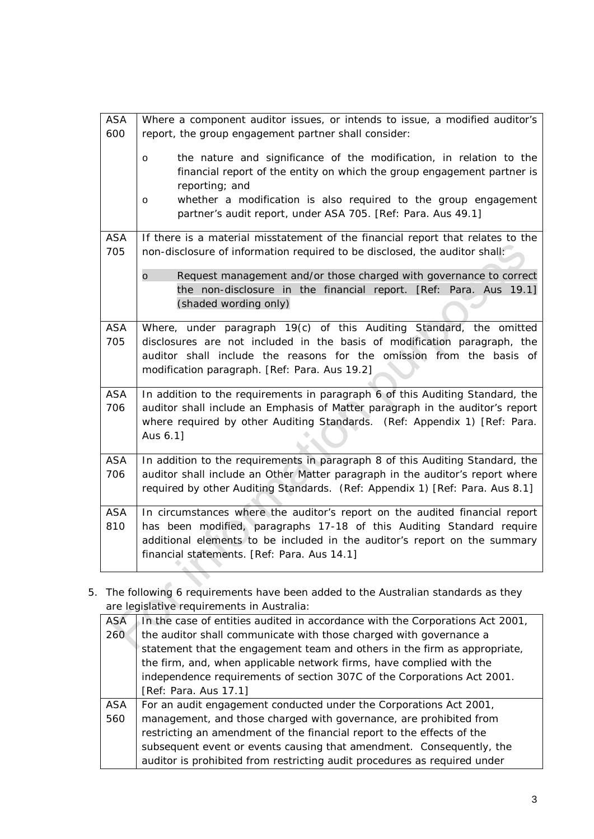| <b>ASA</b><br>600 | Where a component auditor issues, or intends to issue, a modified auditor's<br>report, the group engagement partner shall consider:                                                                                                                                              |
|-------------------|----------------------------------------------------------------------------------------------------------------------------------------------------------------------------------------------------------------------------------------------------------------------------------|
|                   | the nature and significance of the modification, in relation to the<br>$\circ$<br>financial report of the entity on which the group engagement partner is<br>reporting; and<br>whether a modification is also required to the group engagement                                   |
|                   | $\circ$<br>partner's audit report, under ASA 705. [Ref: Para. Aus 49.1]                                                                                                                                                                                                          |
| <b>ASA</b><br>705 | If there is a material misstatement of the financial report that relates to the<br>non-disclosure of information required to be disclosed, the auditor shall:                                                                                                                    |
|                   | $\circ$<br>Request management and/or those charged with governance to correct<br>the non-disclosure in the financial report. [Ref: Para. Aus 19.1]<br>(shaded wording only)                                                                                                      |
| <b>ASA</b><br>705 | Where, under paragraph 19(c) of this Auditing Standard, the omitted<br>disclosures are not included in the basis of modification paragraph, the<br>auditor shall include the reasons for the omission from the basis of<br>modification paragraph. [Ref: Para. Aus 19.2]         |
| <b>ASA</b><br>706 | In addition to the requirements in paragraph 6 of this Auditing Standard, the<br>auditor shall include an Emphasis of Matter paragraph in the auditor's report<br>where required by other Auditing Standards. (Ref: Appendix 1) [Ref: Para.<br>Aus 6.1]                          |
| <b>ASA</b><br>706 | In addition to the requirements in paragraph 8 of this Auditing Standard, the<br>auditor shall include an Other Matter paragraph in the auditor's report where<br>required by other Auditing Standards. (Ref: Appendix 1) [Ref: Para. Aus 8.1]                                   |
| <b>ASA</b><br>810 | In circumstances where the auditor's report on the audited financial report<br>has been modified, paragraphs 17-18 of this Auditing Standard require<br>additional elements to be included in the auditor's report on the summary<br>financial statements. [Ref: Para. Aus 14.1] |

5. The following 6 requirements have been added to the Australian standards as they are legislative requirements in Australia:

| <b>ASA</b> | In the case of entities audited in accordance with the Corporations Act 2001, |
|------------|-------------------------------------------------------------------------------|
| 260        | the auditor shall communicate with those charged with governance a            |
|            | statement that the engagement team and others in the firm as appropriate,     |
|            | the firm, and, when applicable network firms, have complied with the          |
|            | independence requirements of section 307C of the Corporations Act 2001.       |
|            | [Ref: Para. Aus 17.1]                                                         |
| ASA        | For an audit engagement conducted under the Corporations Act 2001,            |
| 560        | management, and those charged with governance, are prohibited from            |
|            | restricting an amendment of the financial report to the effects of the        |
|            | subsequent event or events causing that amendment. Consequently, the          |
|            | auditor is prohibited from restricting audit procedures as required under     |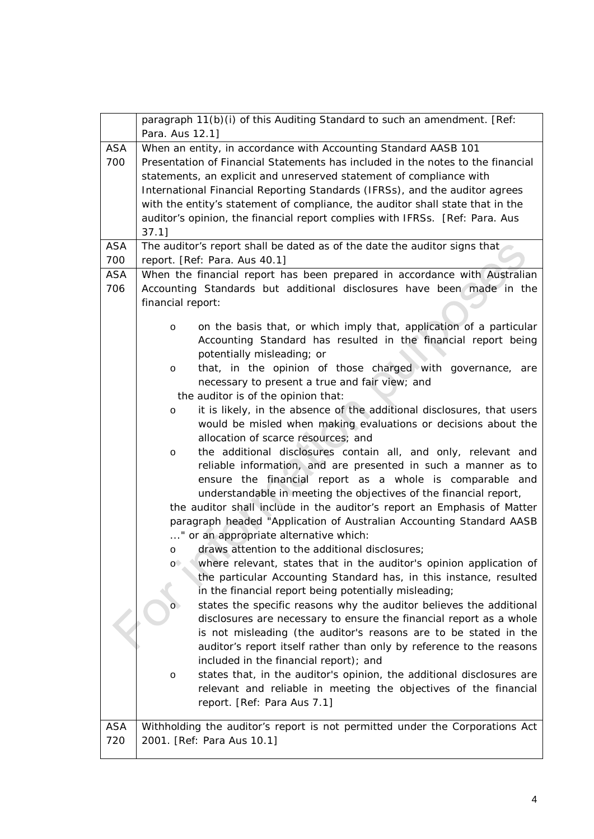|            | paragraph 11(b)(i) of this Auditing Standard to such an amendment. [Ref:                                                                   |
|------------|--------------------------------------------------------------------------------------------------------------------------------------------|
|            | Para. Aus 12.1]                                                                                                                            |
| <b>ASA</b> | When an entity, in accordance with Accounting Standard AASB 101                                                                            |
| 700        | Presentation of Financial Statements has included in the notes to the financial                                                            |
|            | statements, an explicit and unreserved statement of compliance with                                                                        |
|            | International Financial Reporting Standards (IFRSs), and the auditor agrees                                                                |
|            | with the entity's statement of compliance, the auditor shall state that in the                                                             |
|            | auditor's opinion, the financial report complies with IFRSs. [Ref: Para. Aus                                                               |
|            | $37.1$ ]                                                                                                                                   |
| <b>ASA</b> | The auditor's report shall be dated as of the date the auditor signs that                                                                  |
| 700        | report. [Ref: Para. Aus 40.1]                                                                                                              |
| <b>ASA</b> | When the financial report has been prepared in accordance with Australian                                                                  |
| 706        | Accounting Standards but additional disclosures have been made in the                                                                      |
|            | financial report:                                                                                                                          |
|            | on the basis that, or which imply that, application of a particular<br>$\circ$                                                             |
|            | Accounting Standard has resulted in the financial report being                                                                             |
|            | potentially misleading; or                                                                                                                 |
|            | that, in the opinion of those charged with governance, are<br>$\circ$                                                                      |
|            | necessary to present a true and fair view; and                                                                                             |
|            | the auditor is of the opinion that:                                                                                                        |
|            | it is likely, in the absence of the additional disclosures, that users<br>$\circ$                                                          |
|            | would be misled when making evaluations or decisions about the                                                                             |
|            | allocation of scarce resources; and                                                                                                        |
|            | the additional disclosures contain all, and only, relevant and<br>$\circ$                                                                  |
|            | reliable information, and are presented in such a manner as to                                                                             |
|            | ensure the financial report as a whole is comparable and                                                                                   |
|            | understandable in meeting the objectives of the financial report,                                                                          |
|            | the auditor shall include in the auditor's report an Emphasis of Matter                                                                    |
|            | paragraph headed "Application of Australian Accounting Standard AASB                                                                       |
|            | " or an appropriate alternative which:                                                                                                     |
|            | draws attention to the additional disclosures;<br>O                                                                                        |
|            | where relevant, states that in the auditor's opinion application of<br>$\circ$                                                             |
|            | the particular Accounting Standard has, in this instance, resulted                                                                         |
|            | in the financial report being potentially misleading;                                                                                      |
|            | states the specific reasons why the auditor believes the additional<br>disclosures are necessary to ensure the financial report as a whole |
|            | is not misleading (the auditor's reasons are to be stated in the                                                                           |
|            | auditor's report itself rather than only by reference to the reasons                                                                       |
|            | included in the financial report); and                                                                                                     |
|            | states that, in the auditor's opinion, the additional disclosures are<br>$\circ$                                                           |
|            | relevant and reliable in meeting the objectives of the financial                                                                           |
|            | report. [Ref: Para Aus 7.1]                                                                                                                |
|            |                                                                                                                                            |
| <b>ASA</b> | Withholding the auditor's report is not permitted under the Corporations Act                                                               |
| 720        | 2001. [Ref: Para Aus 10.1]                                                                                                                 |
|            |                                                                                                                                            |